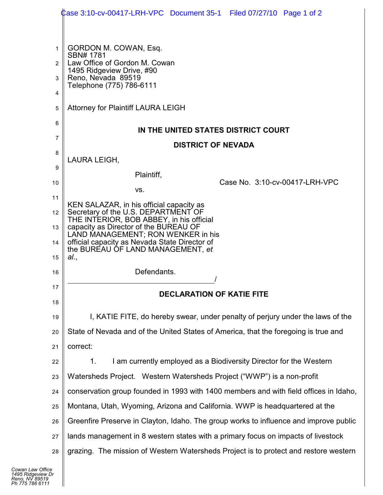|          | Case 3:10-cv-00417-LRH-VPC Document 35-1 Filed 07/27/10 Page 1 of 2                   |
|----------|---------------------------------------------------------------------------------------|
|          |                                                                                       |
| 1        | GORDON M. COWAN, Esq.                                                                 |
| 2        | SBN# 1781<br>Law Office of Gordon M. Cowan                                            |
| 3        | 1495 Ridgeview Drive, #90<br>Reno, Nevada 89519<br>Telephone (775) 786-6111           |
| 4        |                                                                                       |
| 5        | Attorney for Plaintiff LAURA LEIGH                                                    |
| 6        | IN THE UNITED STATES DISTRICT COURT                                                   |
| 7        | <b>DISTRICT OF NEVADA</b>                                                             |
| 8        | LAURA LEIGH,                                                                          |
| 9        | Plaintiff,                                                                            |
| 10       | Case No. 3:10-cv-00417-LRH-VPC<br>VS.                                                 |
| 11       | KEN SALAZAR, in his official capacity as                                              |
| 12       | Secretary of the U.S. DEPARTMENT OF<br>THE INTERIOR, BOB ABBEY, in his official       |
| 13       | capacity as Director of the BUREAU OF<br>LAND MANAGEMENT; RON WENKER in his           |
| 14       | official capacity as Nevada State Director of<br>the BUREAU OF LAND MANAGEMENT, et    |
| 15<br>16 | al.,<br>Defendants.                                                                   |
| 17       |                                                                                       |
| 18       | <b>DECLARATION OF KATIE FITE</b>                                                      |
| 19       | I, KATIE FITE, do hereby swear, under penalty of perjury under the laws of the        |
| 20       | State of Nevada and of the United States of America, that the foregoing is true and   |
| 21       | correct:                                                                              |
| 22       | I am currently employed as a Biodiversity Director for the Western<br>1.              |
| 23       | Watersheds Project. Western Watersheds Project ("WWP") is a non-profit                |
| 24       | conservation group founded in 1993 with 1400 members and with field offices in Idaho, |
| 25       | Montana, Utah, Wyoming, Arizona and California. WWP is headquartered at the           |
| 26       | Greenfire Preserve in Clayton, Idaho. The group works to influence and improve public |
| 27       | lands management in 8 western states with a primary focus on impacts of livestock     |
| 28       | grazing. The mission of Western Watersheds Project is to protect and restore western  |

 $\blacksquare$